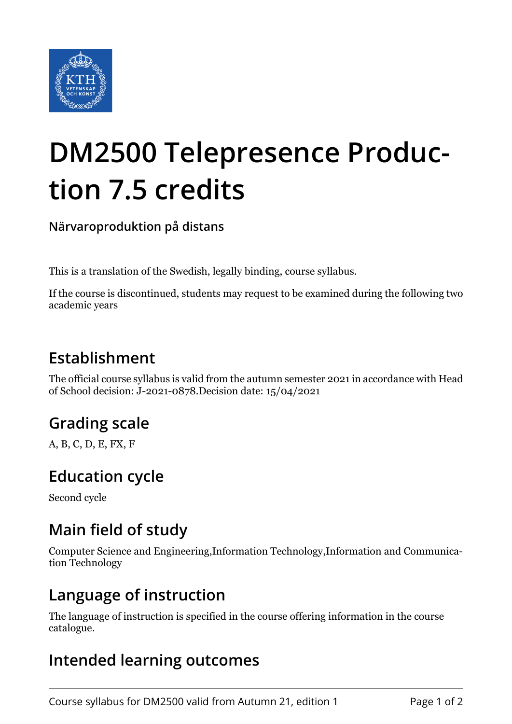

# **DM2500 Telepresence Production 7.5 credits**

**Närvaroproduktion på distans**

This is a translation of the Swedish, legally binding, course syllabus.

If the course is discontinued, students may request to be examined during the following two academic years

## **Establishment**

The official course syllabus is valid from the autumn semester 2021 in accordance with Head of School decision: J-2021-0878.Decision date: 15/04/2021

# **Grading scale**

A, B, C, D, E, FX, F

### **Education cycle**

Second cycle

#### **Main field of study**

Computer Science and Engineering,Information Technology,Information and Communication Technology

#### **Language of instruction**

The language of instruction is specified in the course offering information in the course catalogue.

### **Intended learning outcomes**